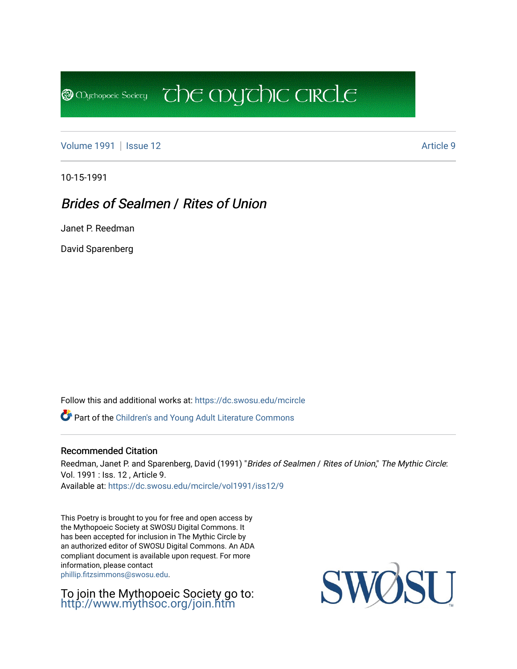[Volume 1991](https://dc.swosu.edu/mcircle/vol1991) | [Issue 12](https://dc.swosu.edu/mcircle/vol1991/iss12) Article 9

**@** Mychopoeic Sociecy

10-15-1991

### Brides of Sealmen / Rites of Union

Janet P. Reedman

David Sparenberg

Follow this and additional works at: [https://dc.swosu.edu/mcircle](https://dc.swosu.edu/mcircle?utm_source=dc.swosu.edu%2Fmcircle%2Fvol1991%2Fiss12%2F9&utm_medium=PDF&utm_campaign=PDFCoverPages) 

Part of the [Children's and Young Adult Literature Commons](http://network.bepress.com/hgg/discipline/1289?utm_source=dc.swosu.edu%2Fmcircle%2Fvol1991%2Fiss12%2F9&utm_medium=PDF&utm_campaign=PDFCoverPages) 

#### Recommended Citation

Reedman, Janet P. and Sparenberg, David (1991) "Brides of Sealmen / Rites of Union," The Mythic Circle: Vol. 1991 : Iss. 12 , Article 9. Available at: [https://dc.swosu.edu/mcircle/vol1991/iss12/9](https://dc.swosu.edu/mcircle/vol1991/iss12/9?utm_source=dc.swosu.edu%2Fmcircle%2Fvol1991%2Fiss12%2F9&utm_medium=PDF&utm_campaign=PDFCoverPages)

 $\overline{c}$  the mychic circle

This Poetry is brought to you for free and open access by the Mythopoeic Society at SWOSU Digital Commons. It has been accepted for inclusion in The Mythic Circle by an authorized editor of SWOSU Digital Commons. An ADA compliant document is available upon request. For more information, please contact [phillip.fitzsimmons@swosu.edu](mailto:phillip.fitzsimmons@swosu.edu).

To join the Mythopoeic Society go to: <http://www.mythsoc.org/join.htm>

**STT** SWO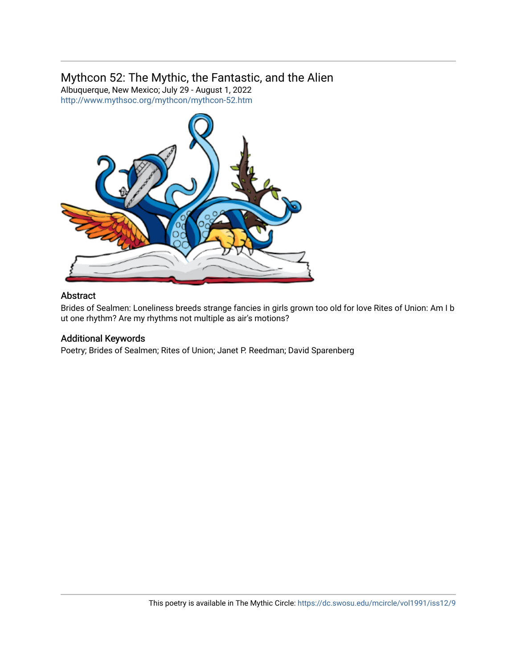### Mythcon 52: The Mythic, the Fantastic, and the Alien

Albuquerque, New Mexico; July 29 - August 1, 2022 <http://www.mythsoc.org/mythcon/mythcon-52.htm>



#### Abstract

Brides of Sealmen: Loneliness breeds strange fancies in girls grown too old for love Rites of Union: Am I b ut one rhythm? Are my rhythms not multiple as air's motions?

#### Additional Keywords

Poetry; Brides of Sealmen; Rites of Union; Janet P. Reedman; David Sparenberg